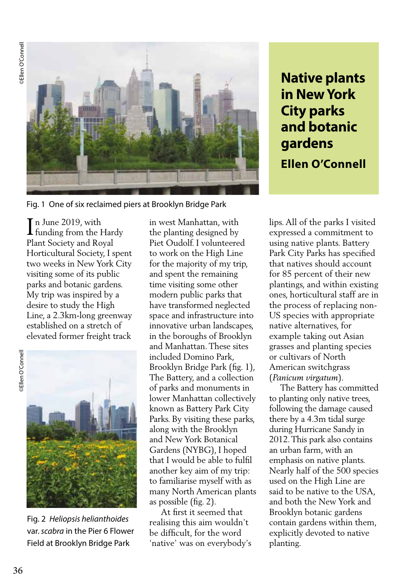

Fig. 1 One of six reclaimed piers at Brooklyn Bridge Park

n June 2019, with In June 2019, with<br>funding from the Hardy Plant Society and Royal Horticultural Society, I spent two weeks in New York City visiting some of its public parks and botanic gardens. My trip was inspired by a desire to study the High Line, a 2.3km-long greenway established on a stretch of elevated former freight track

**SEllen O'Connell** 



Fig. 2 *Heliopsis helianthoides*  var. *scabra* in the Pier 6 Flower Field at Brooklyn Bridge Park

in west Manhattan, with the planting designed by Piet Oudolf. I volunteered to work on the High Line for the majority of my trip, and spent the remaining time visiting some other modern public parks that have transformed neglected space and infrastructure into innovative urban landscapes, in the boroughs of Brooklyn and Manhattan. These sites included Domino Park, Brooklyn Bridge Park (fig. 1), The Battery, and a collection of parks and monuments in lower Manhattan collectively known as Battery Park City Parks. By visiting these parks, along with the Brooklyn and New York Botanical Gardens (NYBG), I hoped that I would be able to fulfil another key aim of my trip: to familiarise myself with as many North American plants as possible (fig. 2).

 At first it seemed that realising this aim wouldn't be difficult, for the word 'native' was on everybody's **Native plants in New York City parks and botanic gardens Ellen O'Connell**

lips. All of the parks I visited expressed a commitment to using native plants. Battery Park City Parks has specified that natives should account for 85 percent of their new plantings, and within existing ones, horticultural staff are in the process of replacing non-US species with appropriate native alternatives, for example taking out Asian grasses and planting species or cultivars of North American switchgrass (*Panicum virgatum*).

 The Battery has committed to planting only native trees, following the damage caused there by a 4.3m tidal surge during Hurricane Sandy in 2012. This park also contains an urban farm, with an emphasis on native plants. Nearly half of the 500 species used on the High Line are said to be native to the USA, and both the New York and Brooklyn botanic gardens contain gardens within them, explicitly devoted to native planting.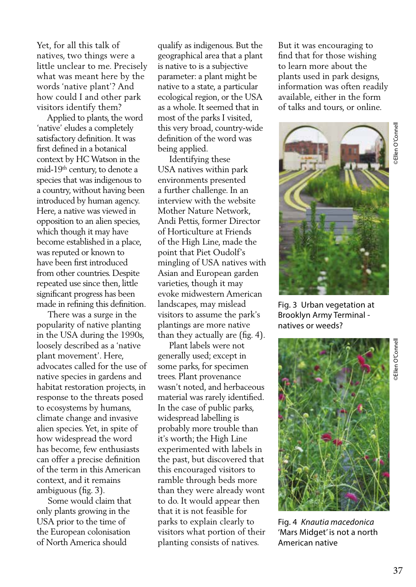Yet, for all this talk of natives, two things were a little unclear to me. Precisely what was meant here by the words 'native plant'? And how could I and other park visitors identify them?

 Applied to plants, the word 'native' eludes a completely satisfactory definition. It was first defined in a botanical context by HC Watson in the mid-19th century, to denote a species that was indigenous to a country, without having been introduced by human agency. Here, a native was viewed in opposition to an alien species, which though it may have become established in a place, was reputed or known to have been first introduced from other countries. Despite repeated use since then, little significant progress has been made in refining this definition.

 There was a surge in the popularity of native planting in the USA during the 1990s, loosely described as a 'native plant movement'. Here, advocates called for the use of native species in gardens and habitat restoration projects, in response to the threats posed to ecosystems by humans, climate change and invasive alien species. Yet, in spite of how widespread the word has become, few enthusiasts can offer a precise definition of the term in this American context, and it remains ambiguous (fig. 3).

 Some would claim that only plants growing in the USA prior to the time of the European colonisation of North America should

qualify as indigenous. But the geographical area that a plant is native to is a subjective parameter: a plant might be native to a state, a particular ecological region, or the USA as a whole. It seemed that in most of the parks I visited, this very broad, country-wide definition of the word was being applied.

 Identifying these USA natives within park environments presented a further challenge. In an interview with the website Mother Nature Network, Andi Pettis, former Director of Horticulture at Friends of the High Line, made the point that Piet Oudolf's mingling of USA natives with Asian and European garden varieties, though it may evoke midwestern American landscapes, may mislead visitors to assume the park's plantings are more native than they actually are (fig. 4).

 Plant labels were not generally used; except in some parks, for specimen trees. Plant provenance wasn't noted, and herbaceous material was rarely identified. In the case of public parks, widespread labelling is probably more trouble than it's worth; the High Line experimented with labels in the past, but discovered that this encouraged visitors to ramble through beds more than they were already wont to do. It would appear then that it is not feasible for parks to explain clearly to visitors what portion of their planting consists of natives.

But it was encouraging to find that for those wishing to learn more about the plants used in park designs, information was often readily available, either in the form of talks and tours, or online.



Fig. 3 Urban vegetation at Brooklyn Army Terminal natives or weeds?



Fig. 4 *Knautia macedonica*  'Mars Midget' is not a north American native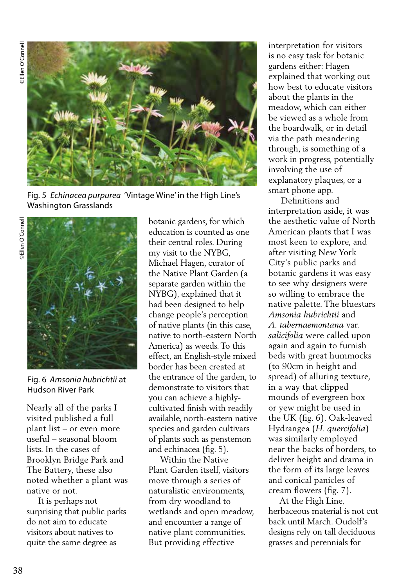**DEllen O'Connell** ©Ellen O'Connell ©Ellen O'Connell



Fig. 5 *Echinacea purpurea* 'Vintage Wine' in the High Line's Washington Grasslands



Fig. 6 *Amsonia hubrichtii* at Hudson River Park

Nearly all of the parks I visited published a full plant list – or even more useful – seasonal bloom lists. In the cases of Brooklyn Bridge Park and The Battery, these also noted whether a plant was native or not.

 It is perhaps not surprising that public parks do not aim to educate visitors about natives to quite the same degree as

botanic gardens, for which education is counted as one their central roles. During my visit to the NYBG, Michael Hagen, curator of the Native Plant Garden (a separate garden within the NYBG), explained that it had been designed to help change people's perception of native plants (in this case, native to north-eastern North America) as weeds. To this effect, an English-style mixed border has been created at the entrance of the garden, to demonstrate to visitors that you can achieve a highlycultivated finish with readily available, north-eastern native species and garden cultivars of plants such as penstemon and echinacea (fig. 5).

 Within the Native Plant Garden itself, visitors move through a series of naturalistic environments, from dry woodland to wetlands and open meadow, and encounter a range of native plant communities. But providing effective

interpretation for visitors is no easy task for botanic gardens either: Hagen explained that working out how best to educate visitors about the plants in the meadow, which can either be viewed as a whole from the boardwalk, or in detail via the path meandering through, is something of a work in progress, potentially involving the use of explanatory plaques, or a smart phone app.

 Definitions and interpretation aside, it was the aesthetic value of North American plants that I was most keen to explore, and after visiting New York City's public parks and botanic gardens it was easy to see why designers were so willing to embrace the native palette. The bluestars *Amsonia hubrichtii* and *A. tabernaemontana* var. *salicifolia* were called upon again and again to furnish beds with great hummocks (to 90cm in height and spread) of alluring texture, in a way that clipped mounds of evergreen box or yew might be used in the UK (fig. 6). Oak-leaved Hydrangea (*H. quercifolia*) was similarly employed near the backs of borders, to deliver height and drama in the form of its large leaves and conical panicles of cream flowers (fig. 7).

 At the High Line, herbaceous material is not cut back until March. Oudolf's designs rely on tall deciduous grasses and perennials for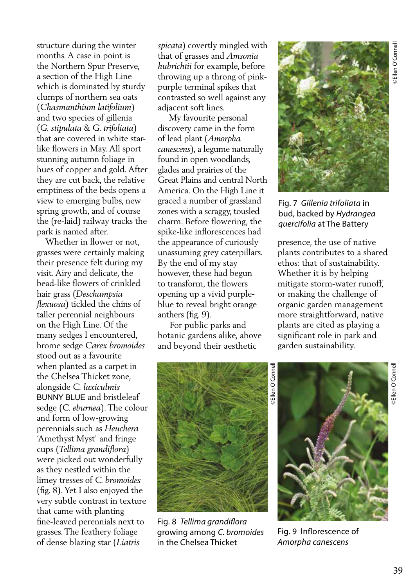structure during the winter months. A case in point is the Northern Spur Preserve, a section of the High Line which is dominated by sturdy clumps of northern sea oats (*Chasmanthium latifolium*) and two species of gillenia (*G. stipulata* & *G. trifoliata*) that are covered in white starlike flowers in May. All sport stunning autumn foliage in hues of copper and gold. After they are cut back, the relative emptiness of the beds opens a view to emerging bulbs, new spring growth, and of course the (re-laid) railway tracks the park is named after.

 Whether in flower or not, grasses were certainly making their presence felt during my visit. Airy and delicate, the bead-like flowers of crinkled hair grass (*Deschampsia flexuosa*) tickled the chins of taller perennial neighbours on the High Line. Of the many sedges I encountered, brome sedge *Carex bromoides* stood out as a favourite when planted as a carpet in the Chelsea Thicket zone, alongside *C. laxiculmis*  BUNNY BLUE and bristleleaf sedge (*C. eburnea*). The colour and form of low-growing perennials such as *Heuchera* 'Amethyst Myst' and fringe cups (*Tellima grandiflora*) were picked out wonderfully as they nestled within the limey tresses of *C. bromoides* (fig. 8). Yet I also enjoyed the very subtle contrast in texture that came with planting fine-leaved perennials next to grasses. The feathery foliage of dense blazing star (*Liatris* 

*spicata*) covertly mingled with that of grasses and *Amsonia hubrichtii* for example, before throwing up a throng of pinkpurple terminal spikes that contrasted so well against any adjacent soft lines.

 My favourite personal discovery came in the form of lead plant (*Amorpha canescens*), a legume naturally found in open woodlands, glades and prairies of the Great Plains and central North America. On the High Line it graced a number of grassland zones with a scraggy, tousled charm. Before flowering, the spike-like inflorescences had the appearance of curiously unassuming grey caterpillars. By the end of my stay however, these had begun to transform, the flowers opening up a vivid purpleblue to reveal bright orange anthers (fig. 9).

 For public parks and botanic gardens alike, above and beyond their aesthetic



Fig. 7 *Gillenia trifoliata* in bud, backed by *Hydrangea quercifolia* at The Battery

presence, the use of native plants contributes to a shared ethos: that of sustainability. Whether it is by helping mitigate storm-water runoff, or making the challenge of organic garden management more straightforward, native plants are cited as playing a significant role in park and garden sustainability.



Fig. 8 *Tellima grandiflora*  growing among *C. bromoides*  in the Chelsea Thicket

©Ellen O'Connell **Ellen O'Conne** 



Fig. 9 Inflorescence of *Amorpha canescens*